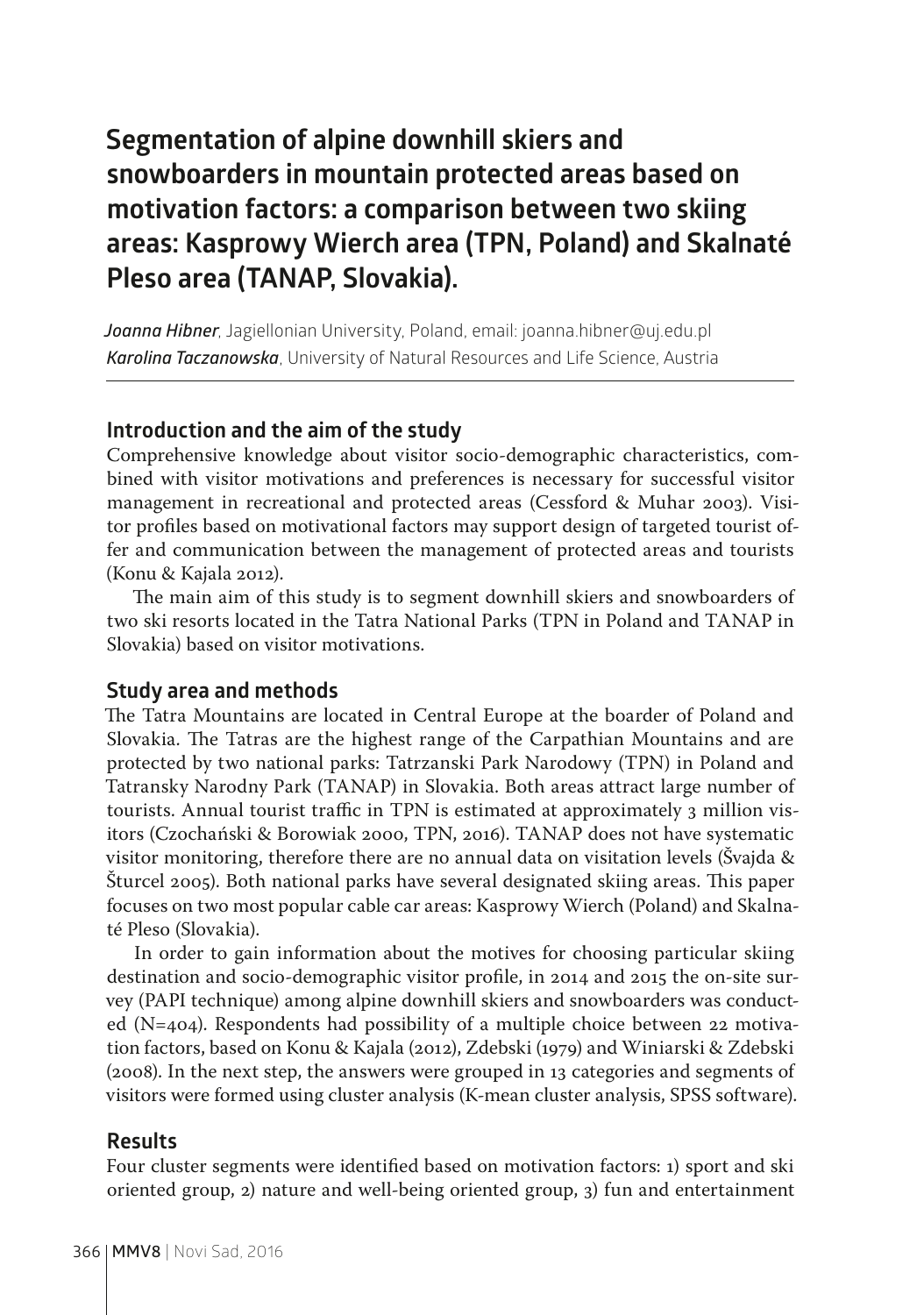# **Segmentation of alpine downhill skiers and snowboarders in mountain protected areas based on motivation factors: a comparison between two skiing areas: Kasprowy Wierch area (TPN, Poland) and Skalnaté Pleso area (TANAP, Slovakia).**

*Joanna Hibner*, Jagiellonian University, Poland, email: joanna.hibner@uj.edu.pl *Karolina Taczanowska*, University of Natural Resources and Life Science, Austria

## **Introduction and the aim of the study**

Comprehensive knowledge about visitor socio-demographic characteristics, combined with visitor motivations and preferences is necessary for successful visitor management in recreational and protected areas (Cessford & Muhar 2003). Visitor profiles based on motivational factors may support design of targeted tourist offer and communication between the management of protected areas and tourists (Konu & Kajala 2012).

The main aim of this study is to segment downhill skiers and snowboarders of two ski resorts located in the Tatra National Parks (TPN in Poland and TANAP in Slovakia) based on visitor motivations.

#### **Study area and methods**

The Tatra Mountains are located in Central Europe at the boarder of Poland and Slovakia. The Tatras are the highest range of the Carpathian Mountains and are protected by two national parks: Tatrzanski Park Narodowy (TPN) in Poland and Tatransky Narodny Park (TANAP) in Slovakia. Both areas attract large number of tourists. Annual tourist traffic in TPN is estimated at approximately 3 million visitors (Czochański & Borowiak 2000, TPN, 2016). TANAP does not have systematic visitor monitoring, therefore there are no annual data on visitation levels (Švajda & Šturcel 2005). Both national parks have several designated skiing areas. This paper focuses on two most popular cable car areas: Kasprowy Wierch (Poland) and Skalnaté Pleso (Slovakia).

In order to gain information about the motives for choosing particular skiing destination and socio-demographic visitor profile, in 2014 and 2015 the on-site survey (PAPI technique) among alpine downhill skiers and snowboarders was conducted (N=404). Respondents had possibility of a multiple choice between 22 motivation factors, based on Konu & Kajala (2012), Zdebski (1979) and Winiarski & Zdebski (2008). In the next step, the answers were grouped in 13 categories and segments of visitors were formed using cluster analysis (K-mean cluster analysis, SPSS software).

# **Results**

Four cluster segments were identified based on motivation factors: 1) sport and ski oriented group, 2) nature and well-being oriented group, 3) fun and entertainment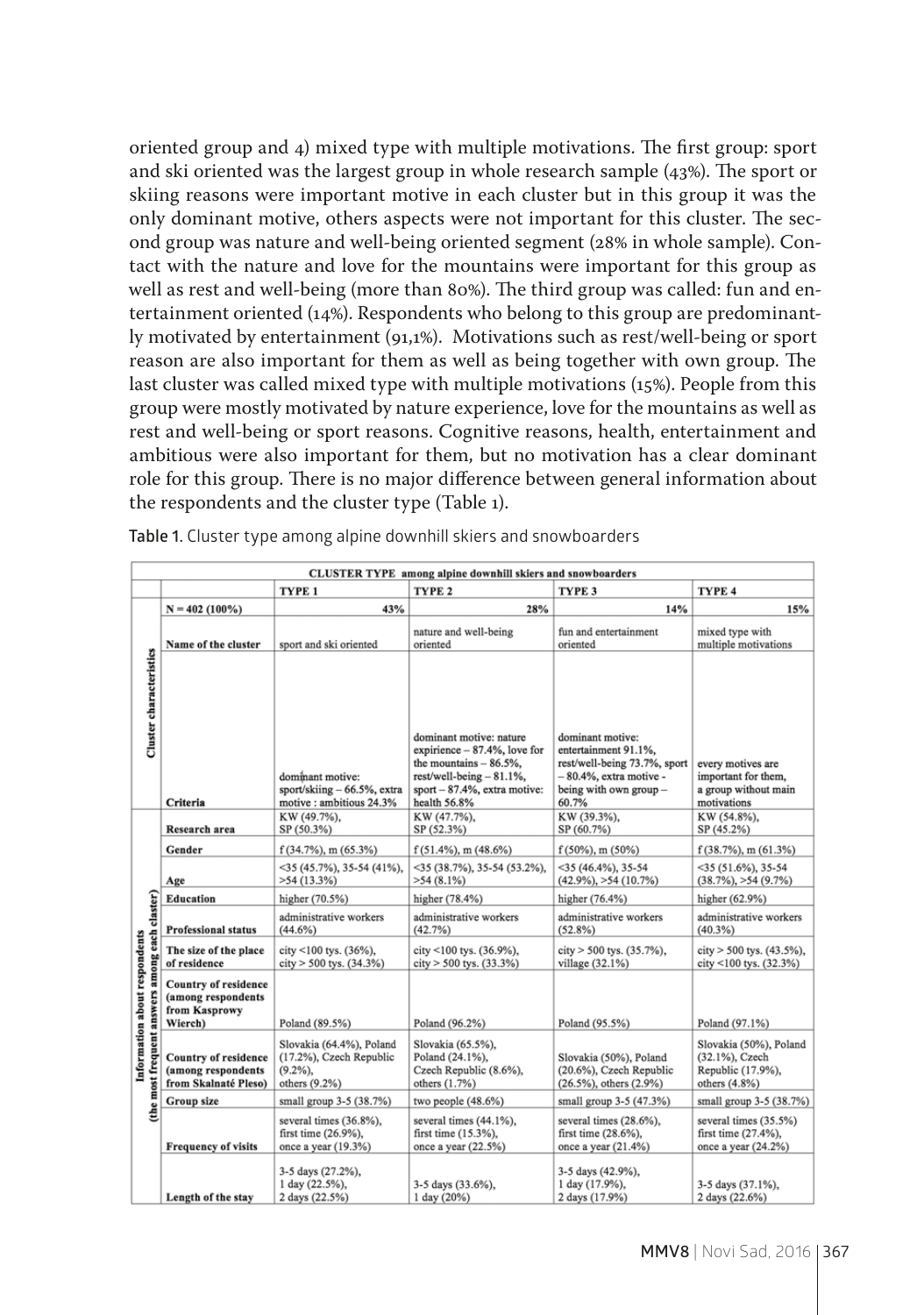oriented group and 4) mixed type with multiple motivations. The first group: sport and ski oriented was the largest group in whole research sample (43%). The sport or skiing reasons were important motive in each cluster but in this group it was the only dominant motive, others aspects were not important for this cluster. The second group was nature and well-being oriented segment (28% in whole sample). Contact with the nature and love for the mountains were important for this group as well as rest and well-being (more than 80%). The third group was called: fun and entertainment oriented (14%). Respondents who belong to this group are predominantly motivated by entertainment (91,1%). Motivations such as rest/well-being or sport reason are also important for them as well as being together with own group. The last cluster was called mixed type with multiple motivations (15%). People from this group were mostly motivated by nature experience, love for the mountains as well as rest and well-being or sport reasons. Cognitive reasons, health, entertainment and ambitious were also important for them, but no motivation has a clear dominant role for this group. There is no major difference between general information about the respondents and the cluster type (Table 1).

| CLUSTER TYPE among alpine downhill skiers and snowboarders                      |                                                                               |                                                                                     |                                                                                                                                                                   |                                                                                                                                             |                                                                                 |
|---------------------------------------------------------------------------------|-------------------------------------------------------------------------------|-------------------------------------------------------------------------------------|-------------------------------------------------------------------------------------------------------------------------------------------------------------------|---------------------------------------------------------------------------------------------------------------------------------------------|---------------------------------------------------------------------------------|
|                                                                                 |                                                                               | TYPE <sub>1</sub>                                                                   | TYPE <sub>2</sub>                                                                                                                                                 | TYPE <sub>3</sub>                                                                                                                           | TYPE 4                                                                          |
|                                                                                 | $N = 402(100\%)$                                                              | 43%                                                                                 | 28%                                                                                                                                                               | 14%                                                                                                                                         | 15%                                                                             |
|                                                                                 | Name of the cluster                                                           | sport and ski oriented                                                              | nature and well-being<br>oriented                                                                                                                                 | fun and entertainment<br>oriented                                                                                                           | mixed type with<br>multiple motivations                                         |
| Cluster characteristics                                                         | Criteria                                                                      | dominant motive:<br>sport/skiing - 66.5%, extra<br>motive: ambitious 24.3%          | dominant motive: nature<br>expirience - 87.4%, love for<br>the mountains $-86.5%$ ,<br>rest/well-being - 81.1%,<br>sport $-87.4%$ , extra motive:<br>health 56.8% | dominant motive:<br>entertainment 91.1%,<br>rest/well-being 73.7%, sport<br>$-80.4\%$ , extra motive -<br>being with own group $-$<br>60.7% | every motives are<br>important for them,<br>a group without main<br>motivations |
|                                                                                 | Research area                                                                 | KW (49.7%),<br>SP (50.3%)                                                           | KW (47.7%),<br>SP (52.3%)                                                                                                                                         | KW (39.3%),<br>SP (60.7%)                                                                                                                   | KW (54.8%),<br>SP (45.2%)                                                       |
|                                                                                 | Gender                                                                        | $f(34.7\%)$ , m $(65.3\%)$                                                          | $f(51.4\%)$ , m $(48.6\%)$                                                                                                                                        | $f(50\%)$ , m $(50\%)$                                                                                                                      | $f(38.7\%)$ , m $(61.3\%)$                                                      |
|                                                                                 | Age                                                                           | $<$ 35 (45.7%), 35-54 (41%),<br>$>54(13.3\%)$                                       | $<$ 35 (38.7%), 35-54 (53.2%),<br>$>54(8.1\%)$                                                                                                                    | $<$ 35 (46.4%), 35-54<br>$(42.9\%)$ , >54 $(10.7\%)$                                                                                        | $<$ 35 (51.6%), 35-54<br>$(38.7\%)$ , $>54$ $(9.7\%)$                           |
|                                                                                 | Education                                                                     | higher (70.5%)                                                                      | higher (78.4%)                                                                                                                                                    | higher (76.4%)                                                                                                                              | higher (62.9%)                                                                  |
|                                                                                 | <b>Professional status</b>                                                    | administrative workers<br>(44.6%)                                                   | administrative workers<br>(42.7%                                                                                                                                  | administrative workers<br>$(52.8\%)$                                                                                                        | administrative workers<br>(40.3%)                                               |
| (the most frequent answers among each claster)<br>Information about respondents | The size of the place<br>of residence                                         | city <100 tys. (36%),<br>$city > 500$ tys. $(34.3%)$                                | city <100 tys. (36.9%),<br>$city > 500$ tys. $(33.3%)$                                                                                                            | $city$ > 500 tys. (35.7%),<br>village (32.1%)                                                                                               | city $>$ 500 tys. (43.5%),<br>city <100 tys. (32.3%)                            |
|                                                                                 | <b>Country of residence</b><br>(among respondents<br>from Kasprowy<br>Wierch) | Poland (89.5%)                                                                      | Poland (96.2%)                                                                                                                                                    | Poland (95.5%)                                                                                                                              | Poland (97.1%)                                                                  |
|                                                                                 | <b>Country of residence</b><br>(among respondents<br>from Skalnaté Pleso)     | Slovakia (64.4%), Poland<br>(17.2%), Czech Republic<br>$(9.2\%)$ ,<br>others (9.2%) | Slovakia (65.5%),<br>Poland (24.1%),<br>Czech Republic (8.6%),<br>others (1.7%)                                                                                   | Slovakia (50%), Poland<br>(20.6%), Czech Republic<br>(26.5%), others (2.9%)                                                                 | Slovakia (50%), Poland<br>(32.1%), Czech<br>Republic (17.9%),<br>others (4.8%)  |
|                                                                                 | Group size                                                                    | small group 3-5 (38.7%)                                                             | two people (48.6%)                                                                                                                                                | small group 3-5 (47.3%)                                                                                                                     | small group 3-5 (38.7%)                                                         |
|                                                                                 | <b>Frequency of visits</b>                                                    | several times (36.8%).<br>first time $(26.9\%)$ ,<br>once a year (19.3%)            | several times (44.1%).<br>first time (15.3%),<br>once a year (22.5%)                                                                                              | several times (28.6%).<br>first time $(28.6\%)$ ,<br>once a year (21.4%)                                                                    | several times (35.5%)<br>first time (27.4%),<br>once a year $(24.2%)$           |
|                                                                                 | Length of the stay                                                            | 3-5 days (27.2%),<br>1 day (22.5%),<br>2 days (22.5%)                               | 3-5 days (33.6%),<br>1 day (20%)                                                                                                                                  | 3-5 days (42.9%),<br>1 day (17.9%),<br>2 days (17.9%)                                                                                       | 3-5 days (37.1%),<br>2 days (22.6%)                                             |

**Table 1.** Cluster type among alpine downhill skiers and snowboarders